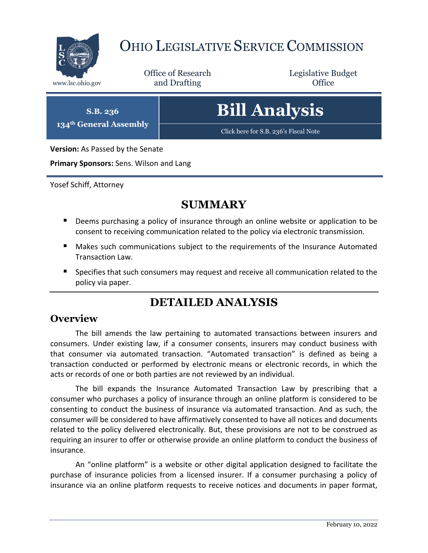

## OHIO LEGISLATIVE SERVICE COMMISSION

Office of Research www.lsc.ohio.gov **and Drafting Office** 

Legislative Budget

**S.B. 236 134th General Assembly**

# **Bill Analysis**

[Click here for S.B. 236's Fiscal Note](https://www.legislature.ohio.gov/legislation/legislation-documents?id=GA134-SB-236)

**Version:** As Passed by the Senate

**Primary Sponsors:** Sens. Wilson and Lang

Yosef Schiff, Attorney

### **SUMMARY**

- **Deems purchasing a policy of insurance through an online website or application to be** consent to receiving communication related to the policy via electronic transmission.
- Makes such communications subject to the requirements of the Insurance Automated Transaction Law.
- **Specifies that such consumers may request and receive all communication related to the** policy via paper.

## **DETAILED ANALYSIS**

#### **Overview**

The bill amends the law pertaining to automated transactions between insurers and consumers. Under existing law, if a consumer consents, insurers may conduct business with that consumer via automated transaction. "Automated transaction" is defined as being a transaction conducted or performed by electronic means or electronic records, in which the acts or records of one or both parties are not reviewed by an individual.

The bill expands the Insurance Automated Transaction Law by prescribing that a consumer who purchases a policy of insurance through an online platform is considered to be consenting to conduct the business of insurance via automated transaction. And as such, the consumer will be considered to have affirmatively consented to have all notices and documents related to the policy delivered electronically. But, these provisions are not to be construed as requiring an insurer to offer or otherwise provide an online platform to conduct the business of insurance.

An "online platform" is a website or other digital application designed to facilitate the purchase of insurance policies from a licensed insurer. If a consumer purchasing a policy of insurance via an online platform requests to receive notices and documents in paper format,